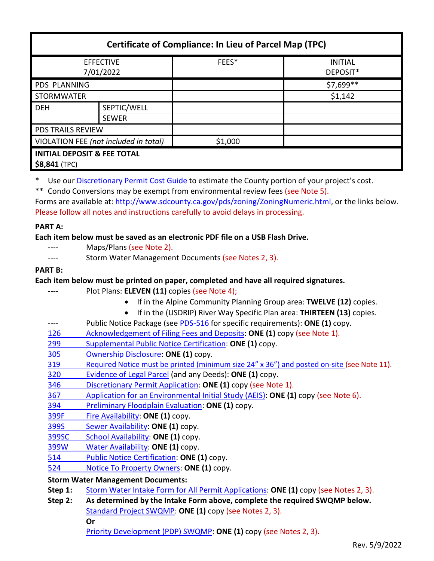| <b>Certificate of Compliance: In Lieu of Parcel Map (TPC)</b> |                             |         |                            |
|---------------------------------------------------------------|-----------------------------|---------|----------------------------|
| <b>EFFECTIVE</b><br>7/01/2022                                 |                             | FEES*   | <b>INITIAL</b><br>DEPOSIT* |
| <b>PDS PLANNING</b>                                           |                             |         | \$7,699**                  |
| <b>STORMWATER</b>                                             |                             |         | \$1,142                    |
| <b>DEH</b>                                                    | SEPTIC/WELL<br><b>SEWER</b> |         |                            |
| <b>PDS TRAILS REVIEW</b>                                      |                             |         |                            |
| VIOLATION FEE (not included in total)                         |                             | \$1,000 |                            |
| <b>INITIAL DEPOSIT &amp; FEE TOTAL</b><br>$$8,841$ (TPC)      |                             |         |                            |

\* Use our [Discretionary Permit Cost Guide](http://www.sandiegocounty.gov/content/dam/sdc/pds/docs/Discretionary_Permit_Cost_Guide.xlsx) to estimate the County portion of your project's cost.

\*\* Condo Conversions may be exempt from environmental review fees (see Note 5).

Forms are available at[: http://www.sdcounty.ca.gov/pds/zoning/ZoningNumeric.html,](http://www.sdcounty.ca.gov/pds/zoning/ZoningNumeric.html) or the links below. Please follow all notes and instructions carefully to avoid delays in processing.

## **PART A:**

# **Each item below must be saved as an electronic PDF file on a USB Flash Drive.**

- Maps/Plans (see Note 2).
- ---- Storm Water Management Documents (see Notes 2, 3).

# **PART B:**

**Each item below must be printed on paper, completed and have all required signatures.**

- Plot Plans: **ELEVEN (11)** copies (see Note 4);
	- If in the Alpine Community Planning Group area: **TWELVE (12)** copies.
	- If in the (USDRIP) River Way Specific Plan area: **THIRTEEN (13)** copies.
- ---- Public Notice Package (see [PDS-516](http://www.sdcounty.ca.gov/pds/zoning/formfields/PDS-PLN-516.pdf) for specific requirements): **ONE (1)** copy.
- [126 Acknowledgement of Filing Fees and Deposits:](http://www.sdcounty.ca.gov/pds/zoning/formfields/PDS-PLN-126.pdf) **ONE (1)** copy (see Note 1).
- 299 [Supplemental Public Notice Certification:](http://www.sdcounty.ca.gov/pds/zoning/formfields/PDS-PLN-299.pdf) **ONE (1)** copy.
- [305 Ownership Disclosure:](http://www.sdcounty.ca.gov/pds/zoning/formfields/PDS-PLN-305.pdf) **ONE (1)** copy.
- [319 Required Notice must be printed \(minimum size 24" x 36"\) and posted on-site](https://www.sandiegocounty.gov/content/dam/sdc/pds/zoning/formfields/PDS-PLN-319.pdf) (see Note 11).
- [320 Evidence of Legal Parcel](http://www.sdcounty.ca.gov/pds/zoning/formfields/PDS-PLN-320.pdf) (and any Deeds): **ONE (1)** copy.
- 346 [Discretionary Permit Application:](http://www.sdcounty.ca.gov/pds/zoning/formfields/PDS-PLN-346.pdf) **ONE (1)** copy (see Note 1).
- 367 [Application for an Environmental](http://www.sdcounty.ca.gov/pds/zoning/formfields/PDS-PLN-367.pdf) Initial Study (AEIS): **ONE (1)** copy (see Note 6).
- 394 [Preliminary Floodplain Evaluation:](http://www.sdcounty.ca.gov/pds/zoning/formfields/PDS-PLN-394.pdf) **ONE (1)** copy.
- [399F Fire Availability:](http://www.sdcounty.ca.gov/pds/zoning/formfields/PDS-PLN-399F.pdf) **ONE (1)** copy.
- 399S [Sewer Availability:](http://www.sdcounty.ca.gov/pds/zoning/formfields/PDS-PLN-399S.pdf) **ONE (1)** copy.
- [399SC School Availability:](http://www.sdcounty.ca.gov/pds/zoning/formfields/PDS-PLN-399SC.pdf) **ONE (1)** copy.
- [399W Water Availability:](http://www.sdcounty.ca.gov/pds/zoning/formfields/PDS-PLN-399W.pdf) **ONE (1)** copy.
- [514 Public Notice Certification:](http://www.sdcounty.ca.gov/pds/zoning/formfields/PDS-PLN-514.pdf) **ONE (1)** copy.
- 524 [Notice To Property Owners:](http://www.sdcounty.ca.gov/pds/zoning/formfields/PDS-PLN-524.pdf) **ONE (1)** copy.

## **Storm Water Management Documents:**

- **Step 1:** [Storm Water Intake Form for All Permit Applications:](http://www.sandiegocounty.gov/content/dam/sdc/pds/zoning/formfields/SWQMP-Intake-Form.pdf) **ONE (1)** copy (see Notes 2, 3).
- **Step 2: As determined by the Intake Form above, complete the required SWQMP below.**
	- [Standard Project SWQMP:](http://www.sandiegocounty.gov/content/dam/sdc/pds/zoning/formfields/SWQMP-Standard.pdf) **ONE (1)** copy (see Notes 2, 3).
		- **Or**

[Priority Development \(PDP\) SWQMP:](https://www.sandiegocounty.gov/content/sdc/dpw/watersheds/DevelopmentandConstruction/BMP_Design_Manual.html) **ONE (1)** copy (see Notes 2, 3).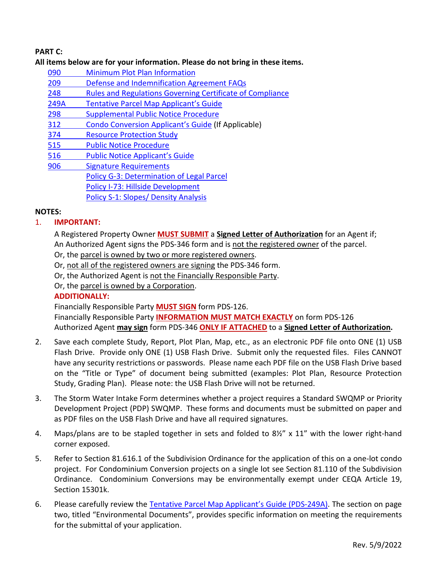# **PART C:**

### **All items below are for your information. Please do not bring in these items.**

- 090 [Minimum Plot Plan Information](http://www.sdcounty.ca.gov/pds/docs/pds090.pdf)
- 209 [Defense and Indemnification Agreement FAQs](http://www.sdcounty.ca.gov/pds/zoning/formfields/PDS-PLN-209.pdf)
- 248 [Rules and Regulations Governing Certificate of Compliance](http://www.sdcounty.ca.gov/pds/zoning/formfields/PDS-PLN-248.pdf)
- 249A [Tentative Parcel Map Applicant's Guide](http://www.sdcounty.ca.gov/pds/zoning/formfields/PDS-PLN-249A.pdf)
- [298 Supplemental Public Notice Procedure](http://www.sdcounty.ca.gov/pds/zoning/formfields/PDS-PLN-298.pdf)
- 312 [Condo Conversion Applicant's Guide](http://www.sdcounty.ca.gov/pds/zoning/formfields/PDS-PLN-312.pdf) (If Applicable)
- [374 Resource Protection Study](http://www.sdcounty.ca.gov/pds/zoning/formfields/PDS-PLN-374.pdf)
- [515 Public Notice Procedure](http://www.sdcounty.ca.gov/pds/zoning/formfields/PDS-PLN-515.pdf)
- [516 Public Notice Applicant's Guide](http://www.sdcounty.ca.gov/pds/zoning/formfields/PDS-PLN-516.pdf)
- [906 Signature Requirements](http://www.sdcounty.ca.gov/pds/zoning/formfields/PDS-PLN-906.pdf) [Policy G-3: Determination of Legal Parcel](http://www.sdcounty.ca.gov/pds/zoning/formfields/POLICY-G-3.pdf)  [Policy I-73: Hillside Development](http://www.sdcounty.ca.gov/cob/docs/policy/I-73.pdf) [Policy S-1: Slopes/ Density Analysis](http://www.sdcounty.ca.gov/pds/zoning/formfields/POLICY-S-1.pdf)

### **NOTES:**

## 1. **IMPORTANT:**

A Registered Property Owner **MUST SUBMIT** a **Signed Letter of Authorization** for an Agent if; An Authorized Agent signs the PDS-346 form and is not the registered owner of the parcel.

- Or, the parcel is owned by two or more registered owners.
- Or, not all of the registered owners are signing the PDS-346 form.
- Or, the Authorized Agent is not the Financially Responsible Party.

Or, the parcel is owned by a Corporation.

### **ADDITIONALLY:**

Financially Responsible Party **MUST SIGN** form PDS-126.

Financially Responsible Party **INFORMATION MUST MATCH EXACTLY** on form PDS-126 Authorized Agent **may sign** form PDS-346 **ONLY IF ATTACHED** to a **Signed Letter of Authorization.** 

- 2. Save each complete Study, Report, Plot Plan, Map, etc., as an electronic PDF file onto ONE (1) USB Flash Drive. Provide only ONE (1) USB Flash Drive. Submit only the requested files. Files CANNOT have any security restrictions or passwords. Please name each PDF file on the USB Flash Drive based on the "Title or Type" of document being submitted (examples: Plot Plan, Resource Protection Study, Grading Plan). Please note: the USB Flash Drive will not be returned.
- 3. The Storm Water Intake Form determines whether a project requires a Standard SWQMP or Priority Development Project (PDP) SWQMP. These forms and documents must be submitted on paper and as PDF files on the USB Flash Drive and have all required signatures.
- 4. Maps/plans are to be stapled together in sets and folded to 8½" x 11" with the lower right-hand corner exposed.
- 5. Refer to Section 81.616.1 of the Subdivision Ordinance for the application of this on a one-lot condo project. For Condominium Conversion projects on a single lot see Section 81.110 of the Subdivision Ordinance. Condominium Conversions may be environmentally exempt under CEQA Article 19, Section 15301k.
- 6. Please carefully review the [Tentative Parcel Map Applicant's Guide \(PDS-249A\).](http://www.sdcounty.ca.gov/pds/zoning/formfields/PDS-PLN-249A.pdf) The section on page two, titled "Environmental Documents", provides specific information on meeting the requirements for the submittal of your application.